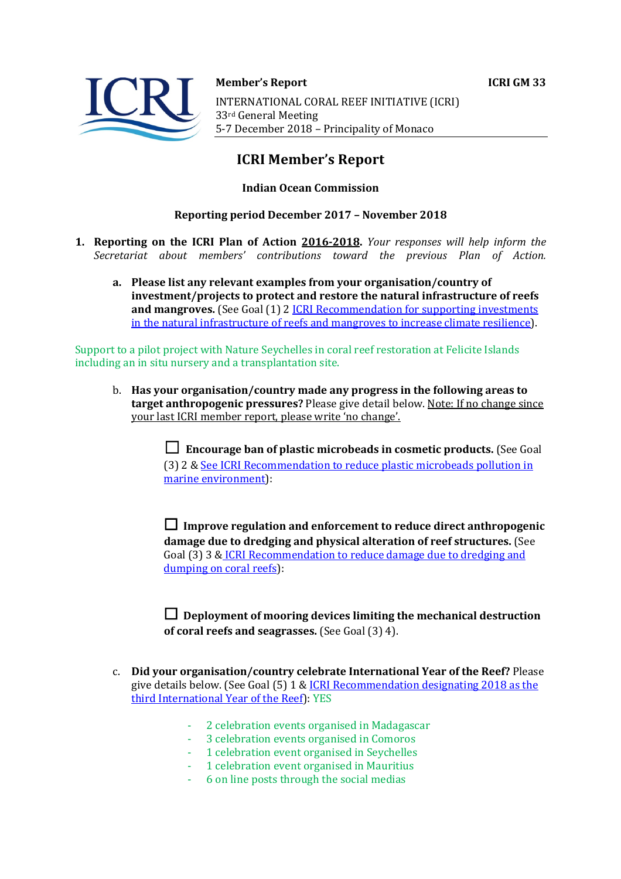

**Member's Report ICRI GM 33** INTERNATIONAL CORAL REEF INITIATIVE (ICRI) 33rd General Meeting 5-7 December 2018 - Principality of Monaco

# **ICRI Member's Report**

# **Indian Ocean Commission**

# **Reporting period December 2017 – November 2018**

- **1. Reporting on the ICRI Plan of Action 2016-2018.** *Your responses will help inform the Secretariat about members' contributions toward the previous Plan of Action.*
	- a. Please list any relevant examples from your organisation/country of **investment/projects to protect and restore the natural infrastructure of reefs and mangroves.** (See Goal (1) 2 *ICRI Recommendation for supporting investments* in the natural infrastructure of reefs and mangroves to increase climate resilience).

Support to a pilot project with Nature Seychelles in coral reef restoration at Felicite Islands including an in situ nursery and a transplantation site.

b. Has your organisation/country made any progress in the following areas to **target anthropogenic pressures?** Please give detail below. Note: If no change since your last ICRI member report, please write 'no change'.

> ☐ **Encourage ban of plastic microbeads in cosmetic products.** (See Goal (3) 2 & See ICRI Recommendation to reduce plastic microbeads pollution in marine environment):

> □ Improve regulation and enforcement to reduce direct anthropogenic **damage due to dredging and physical alteration of reef structures.** (See Goal (3) 3 & ICRI Recommendation to reduce damage due to dredging and dumping on coral reefs):

 $\Box$  Deployment of mooring devices limiting the mechanical destruction **of coral reefs and seagrasses.** (See Goal (3) 4).

- c. **Did your organisation/country celebrate International Year of the Reef?** Please give details below. (See Goal  $(5)$  1 & ICRI Recommendation designating 2018 as the third International Year of the Reef): YES
	- 2 celebration events organised in Madagascar
	- 3 celebration events organised in Comoros
	- 1 celebration event organised in Seychelles
	- 1 celebration event organised in Mauritius
	- 6 on line posts through the social medias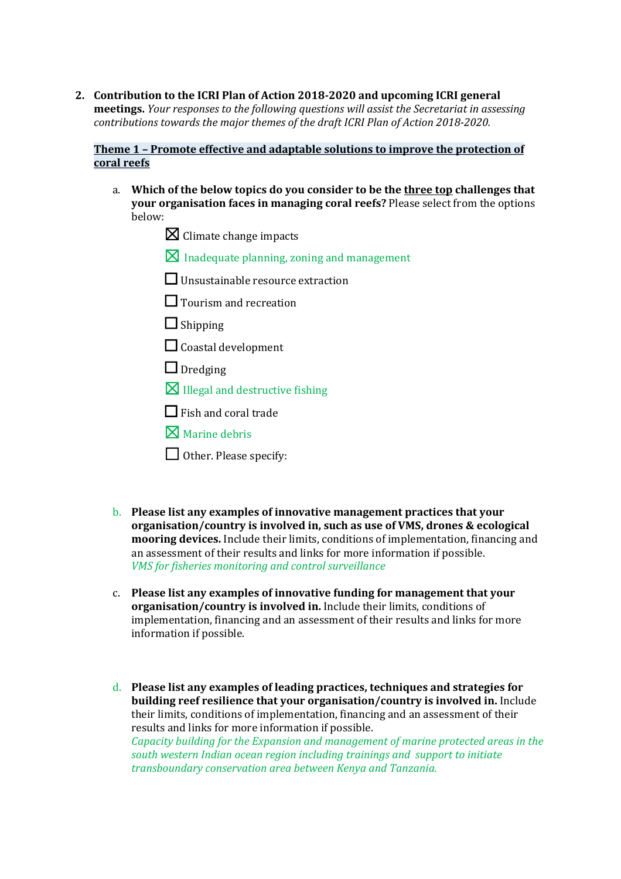2. Contribution to the ICRI Plan of Action 2018-2020 and upcoming ICRI general **meetings.** *Your responses to the following questions will assist the Secretariat in assessing contributions towards the major themes of the draft ICRI Plan of Action 2018-2020.* 

## **Theme 1 - Promote effective and adaptable solutions to improve the protection of coral reefs**

- a. Which of the below topics do you consider to be the three top challenges that **your organisation faces in managing coral reefs?** Please select from the options below:
	- $\boxtimes$  Climate change impacts
	- $\boxtimes$  Inadequate planning, zoning and management
	- $\Box$  Unsustainable resource extraction
	- □ Tourism and recreation
	- □ Shipping
	- $\Box$  Coastal development
	- $\Box$  Dredging
	- $\boxtimes$  Illegal and destructive fishing
	- $\Box$  Fish and coral trade
	- $\nabla$  Marine debris
	- $\Box$  Other. Please specify:
- b. Please list any examples of innovative management practices that your **organisation/country is involved in, such as use of VMS, drones & ecological mooring devices.** Include their limits, conditions of implementation, financing and an assessment of their results and links for more information if possible. *VMS* for fisheries monitoring and control surveillance
- c. Please list any examples of innovative funding for management that your **organisation/country is involved in.** Include their limits, conditions of implementation, financing and an assessment of their results and links for more information if possible.
- d. Please list any examples of leading practices, techniques and strategies for **building reef resilience that your organisation/country is involved in.** Include their limits, conditions of implementation, financing and an assessment of their results and links for more information if possible. *Capacity building for the Expansion and management of marine protected areas in the south western Indian ocean region including trainings and support to initiate transboundary conservation area between Kenya and Tanzania.*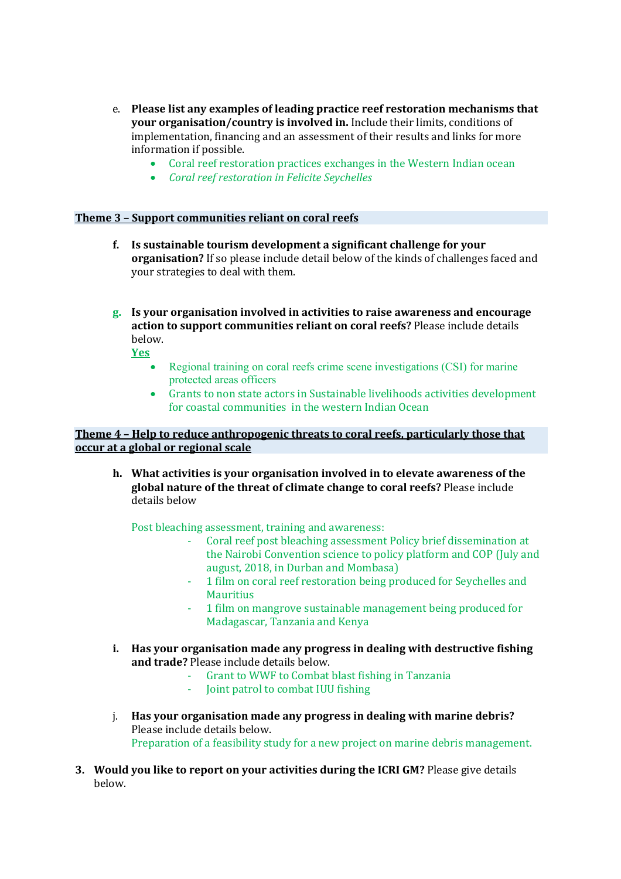- e. Please list any examples of leading practice reef restoration mechanisms that **your organisation/country is involved in.** Include their limits, conditions of implementation, financing and an assessment of their results and links for more information if possible.
	- Coral reef restoration practices exchanges in the Western Indian ocean
	- *Coral reef restoration in Felicite Seychelles*

## **Theme 3 - Support communities reliant on coral reefs**

- **f.** Is sustainable tourism development a significant challenge for your **organisation?** If so please include detail below of the kinds of challenges faced and your strategies to deal with them.
- **g.** Is your organisation involved in activities to raise awareness and encourage **action to support communities reliant on coral reefs?** Please include details below.

**Yes**

- Regional training on coral reefs crime scene investigations (CSI) for marine protected areas officers
- Grants to non state actors in Sustainable livelihoods activities development for coastal communities in the western Indian Ocean

## **Theme 4 - Help to reduce anthropogenic threats to coral reefs, particularly those that occur at a global or regional scale**

**h.** What activities is your organisation involved in to elevate awareness of the **global nature of the threat of climate change to coral reefs?** Please include details below

Post bleaching assessment, training and awareness:

- Coral reef post bleaching assessment Policy brief dissemination at the Nairobi Convention science to policy platform and COP (July and august, 2018, in Durban and Mombasa)
- 1 film on coral reef restoration being produced for Seychelles and **Mauritius**
- 1 film on mangrove sustainable management being produced for Madagascar, Tanzania and Kenya
- **i.** Has your organisation made any progress in dealing with destructive fishing and trade? Please include details below.
	- Grant to WWF to Combat blast fishing in Tanzania
	- Joint patrol to combat IUU fishing
- j. Has your organisation made any progress in dealing with marine debris? Please include details below. Preparation of a feasibility study for a new project on marine debris management.
- **3.** Would you like to report on your activities during the ICRI GM? Please give details below.